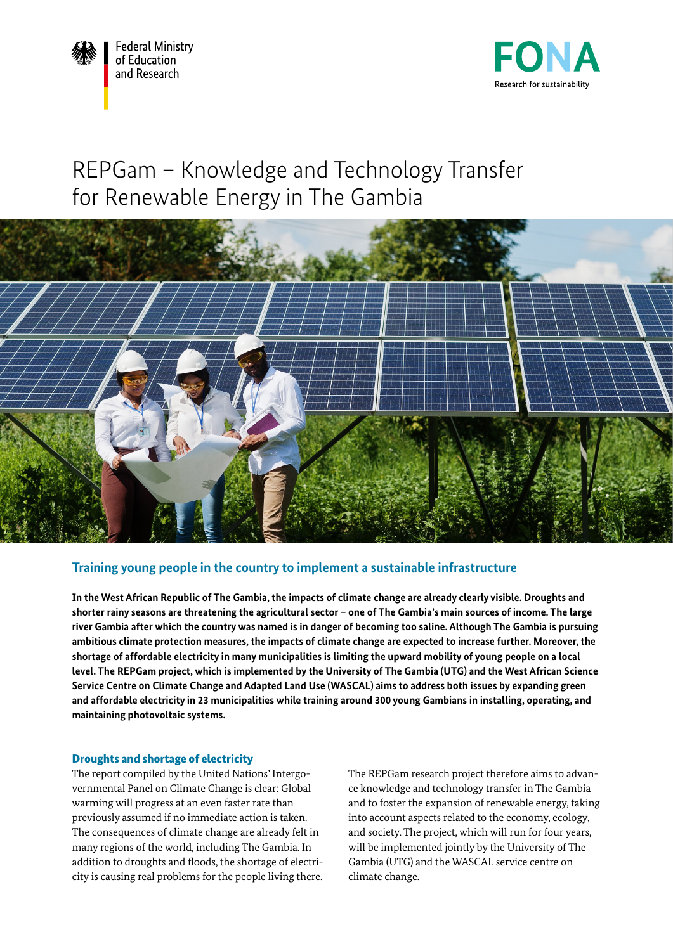



# REPGam – Knowledge and Technology Transfer for Renewable Energy in The Gambia



# **Training young people in the country to implement a sustainable infrastructure**

**In the West African Republic of The Gambia, the impacts of climate change are already clearly visible. Droughts and shorter rainy seasons are threatening the agricultural sector – one of The Gambia's main sources of income. The large river Gambia after which the country was named is in danger of becoming too saline. Although The Gambia is pursuing ambitious climate protection measures, the impacts of climate change are expected to increase further. Moreover, the shortage of affordable electricity in many municipalities is limiting the upward mobility of young people on a local level. The REPGam project, which is implemented by the University of The Gambia (UTG) and the West African Science Service Centre on Climate Change and Adapted Land Use (WASCAL) aims to address both issues by expanding green and affordable electricity in 23 municipalities while training around 300 young Gambians in installing, operating, and maintaining photovoltaic systems.**

# Droughts and shortage of electricity

The report compiled by the United Nations' Intergovernmental Panel on Climate Change is clear: Global warming will progress at an even faster rate than previously assumed if no immediate action is taken. The consequences of climate change are already felt in many regions of the world, including The Gambia. In addition to droughts and floods, the shortage of electricity is causing real problems for the people living there. The REPGam research project therefore aims to advance knowledge and technology transfer in The Gambia and to foster the expansion of renewable energy, taking into account aspects related to the economy, ecology, and society. The project, which will run for four years, will be implemented jointly by the University of The Gambia (UTG) and the WASCAL service centre on climate change.